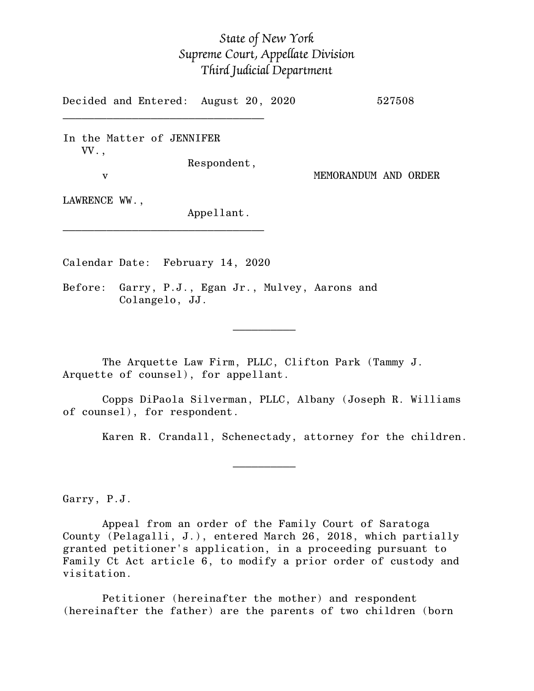## *State of New York Supreme Court, Appellate Division Third Judicial Department*

Decided and Entered: August 20, 2020 527508

In the Matter of JENNIFER VV.,

 $\mathcal{L}_\text{max}$ 

v MEMORANDUM AND ORDER

Respondent,

LAWRENCE WW.,

Appellant.

Calendar Date: February 14, 2020

 $\mathcal{L}_\text{max}$  and  $\mathcal{L}_\text{max}$  are the set of  $\mathcal{L}_\text{max}$  . The set of  $\mathcal{L}_\text{max}$ 

 $\mathcal{L}_\text{max}$  and  $\mathcal{L}_\text{max}$  are the set of  $\mathcal{L}_\text{max}$  . The set of  $\mathcal{L}_\text{max}$ 

\_\_\_\_\_\_\_\_\_\_\_\_\_\_\_\_\_\_\_\_\_\_\_\_\_\_\_\_\_\_\_\_

Before: Garry, P.J., Egan Jr., Mulvey, Aarons and Colangelo, JJ.

The Arquette Law Firm, PLLC, Clifton Park (Tammy J. Arquette of counsel), for appellant.

Copps DiPaola Silverman, PLLC, Albany (Joseph R. Williams of counsel), for respondent.

Karen R. Crandall, Schenectady, attorney for the children.

Garry, P.J.

Appeal from an order of the Family Court of Saratoga County (Pelagalli, J.), entered March 26, 2018, which partially granted petitioner's application, in a proceeding pursuant to Family Ct Act article 6, to modify a prior order of custody and visitation.

Petitioner (hereinafter the mother) and respondent (hereinafter the father) are the parents of two children (born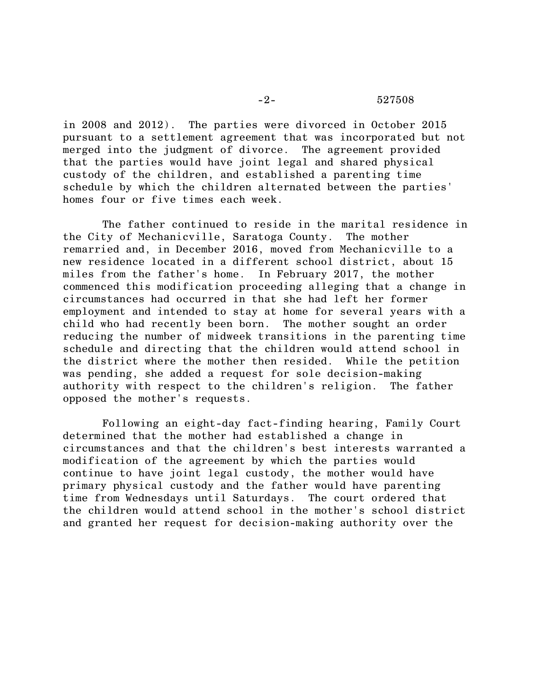## -2- 527508

in 2008 and 2012). The parties were divorced in October 2015 pursuant to a settlement agreement that was incorporated but not merged into the judgment of divorce. The agreement provided that the parties would have joint legal and shared physical custody of the children, and established a parenting time schedule by which the children alternated between the parties' homes four or five times each week.

The father continued to reside in the marital residence in the City of Mechanicville, Saratoga County. The mother remarried and, in December 2016, moved from Mechanicville to a new residence located in a different school district, about 15 miles from the father's home. In February 2017, the mother commenced this modification proceeding alleging that a change in circumstances had occurred in that she had left her former employment and intended to stay at home for several years with a child who had recently been born. The mother sought an order reducing the number of midweek transitions in the parenting time schedule and directing that the children would attend school in the district where the mother then resided. While the petition was pending, she added a request for sole decision-making authority with respect to the children's religion. The father opposed the mother's requests.

Following an eight-day fact-finding hearing, Family Court determined that the mother had established a change in circumstances and that the children's best interests warranted a modification of the agreement by which the parties would continue to have joint legal custody, the mother would have primary physical custody and the father would have parenting time from Wednesdays until Saturdays. The court ordered that the children would attend school in the mother's school district and granted her request for decision-making authority over the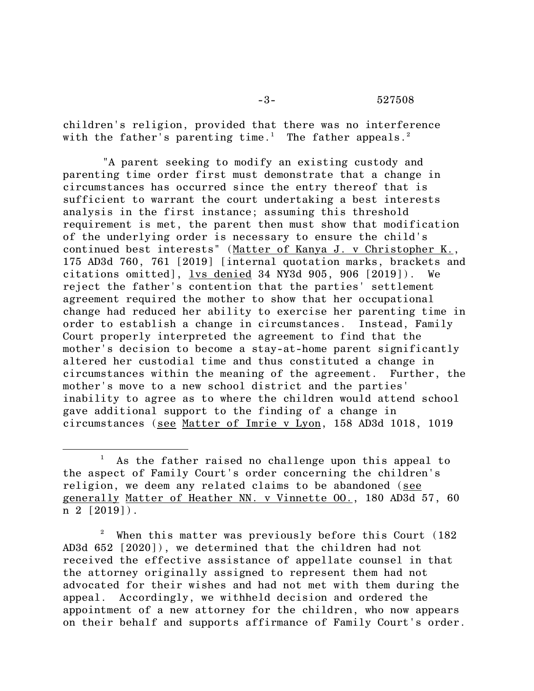-3- 527508

children's religion, provided that there was no interference with the father's parenting time.<sup>1</sup> The father appeals.<sup>2</sup>

"A parent seeking to modify an existing custody and parenting time order first must demonstrate that a change in circumstances has occurred since the entry thereof that is sufficient to warrant the court undertaking a best interests analysis in the first instance; assuming this threshold requirement is met, the parent then must show that modification of the underlying order is necessary to ensure the child's continued best interests" (Matter of Kanya J. v Christopher K., 175 AD3d 760, 761 [2019] [internal quotation marks, brackets and citations omitted], lvs denied 34 NY3d 905, 906 [2019]). We reject the father's contention that the parties' settlement agreement required the mother to show that her occupational change had reduced her ability to exercise her parenting time in order to establish a change in circumstances. Instead, Family Court properly interpreted the agreement to find that the mother's decision to become a stay-at-home parent significantly altered her custodial time and thus constituted a change in circumstances within the meaning of the agreement. Further, the mother's move to a new school district and the parties' inability to agree as to where the children would attend school gave additional support to the finding of a change in circumstances (see Matter of Imrie v Lyon, 158 AD3d 1018, 1019

 $2^{\circ}$  When this matter was previously before this Court (182) AD3d 652 [2020]), we determined that the children had not received the effective assistance of appellate counsel in that the attorney originally assigned to represent them had not advocated for their wishes and had not met with them during the appeal. Accordingly, we withheld decision and ordered the appointment of a new attorney for the children, who now appears on their behalf and supports affirmance of Family Court's order.

 $<sup>1</sup>$  As the father raised no challenge upon this appeal to</sup> the aspect of Family Court's order concerning the children's religion, we deem any related claims to be abandoned (see generally Matter of Heather NN. v Vinnette OO., 180 AD3d 57, 60 n 2 [2019]).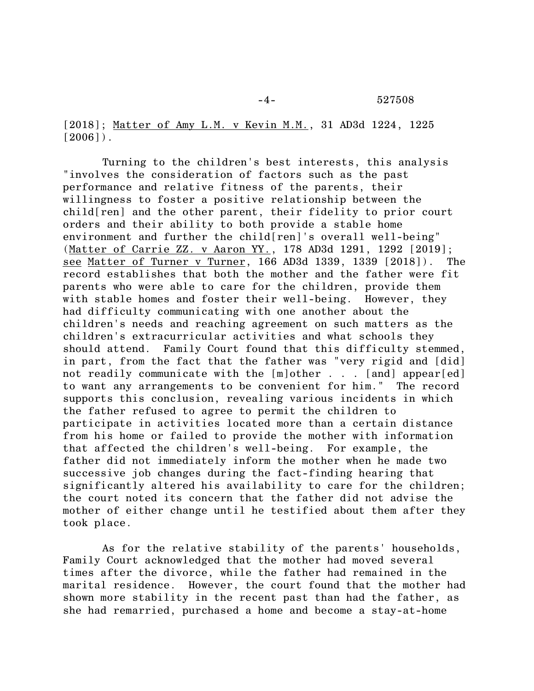-4- 527508

[2018]; Matter of Amy L.M. v Kevin M.M., 31 AD3d 1224, 1225  $[2006]$ .

Turning to the children's best interests, this analysis "involves the consideration of factors such as the past performance and relative fitness of the parents, their willingness to foster a positive relationship between the child[ren] and the other parent, their fidelity to prior court orders and their ability to both provide a stable home environment and further the child[ren]'s overall well-being" (Matter of Carrie ZZ. v Aaron YY., 178 AD3d 1291, 1292 [2019]; see Matter of Turner v Turner, 166 AD3d 1339, 1339 [2018]). The record establishes that both the mother and the father were fit parents who were able to care for the children, provide them with stable homes and foster their well-being. However, they had difficulty communicating with one another about the children's needs and reaching agreement on such matters as the children's extracurricular activities and what schools they should attend. Family Court found that this difficulty stemmed, in part, from the fact that the father was "very rigid and [did] not readily communicate with the [m]other . . . [and] appear[ed] to want any arrangements to be convenient for him." The record supports this conclusion, revealing various incidents in which the father refused to agree to permit the children to participate in activities located more than a certain distance from his home or failed to provide the mother with information that affected the children's well-being. For example, the father did not immediately inform the mother when he made two successive job changes during the fact-finding hearing that significantly altered his availability to care for the children; the court noted its concern that the father did not advise the mother of either change until he testified about them after they took place.

As for the relative stability of the parents' households, Family Court acknowledged that the mother had moved several times after the divorce, while the father had remained in the marital residence. However, the court found that the mother had shown more stability in the recent past than had the father, as she had remarried, purchased a home and become a stay-at-home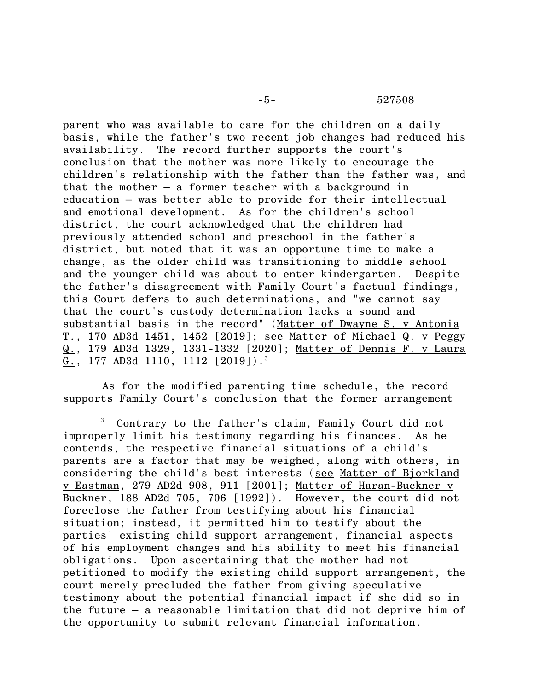parent who was available to care for the children on a daily basis, while the father's two recent job changes had reduced his availability. The record further supports the court's conclusion that the mother was more likely to encourage the children's relationship with the father than the father was, and that the mother – a former teacher with a background in education – was better able to provide for their intellectual and emotional development. As for the children's school district, the court acknowledged that the children had previously attended school and preschool in the father's district, but noted that it was an opportune time to make a change, as the older child was transitioning to middle school and the younger child was about to enter kindergarten. Despite the father's disagreement with Family Court's factual findings, this Court defers to such determinations, and "we cannot say that the court's custody determination lacks a sound and substantial basis in the record" (Matter of Dwayne S. v Antonia T., 170 AD3d 1451, 1452 [2019]; see Matter of Michael Q. v Peggy Q., 179 AD3d 1329, 1331-1332 [2020]; Matter of Dennis F. v Laura G., 177 AD3d 1110, 1112 [2019]).<sup>3</sup>

As for the modified parenting time schedule, the record supports Family Court's conclusion that the former arrangement

Contrary to the father's claim, Family Court did not improperly limit his testimony regarding his finances. As he contends, the respective financial situations of a child's parents are a factor that may be weighed, along with others, in considering the child's best interests (see Matter of Bjorkland v Eastman, 279 AD2d 908, 911 [2001]; Matter of Haran-Buckner v Buckner, 188 AD2d 705, 706 [1992]). However, the court did not foreclose the father from testifying about his financial situation; instead, it permitted him to testify about the parties' existing child support arrangement, financial aspects of his employment changes and his ability to meet his financial obligations. Upon ascertaining that the mother had not petitioned to modify the existing child support arrangement, the court merely precluded the father from giving speculative testimony about the potential financial impact if she did so in the future – a reasonable limitation that did not deprive him of the opportunity to submit relevant financial information.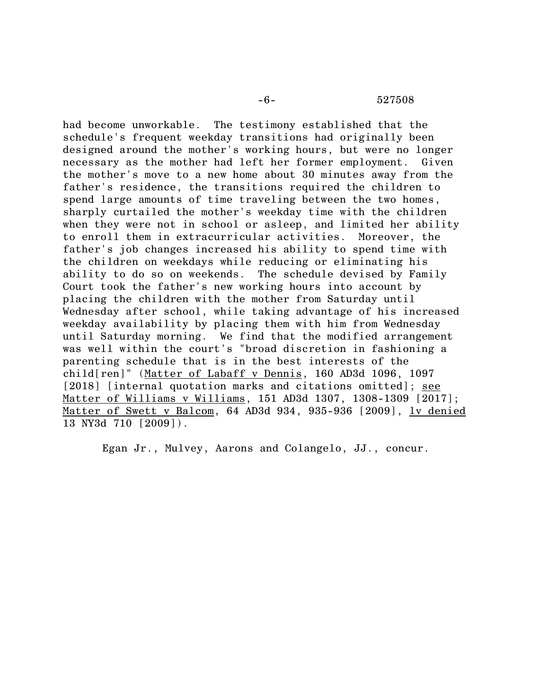## -6- 527508

had become unworkable. The testimony established that the schedule's frequent weekday transitions had originally been designed around the mother's working hours, but were no longer necessary as the mother had left her former employment. Given the mother's move to a new home about 30 minutes away from the father's residence, the transitions required the children to spend large amounts of time traveling between the two homes, sharply curtailed the mother's weekday time with the children when they were not in school or asleep, and limited her ability to enroll them in extracurricular activities. Moreover, the father's job changes increased his ability to spend time with the children on weekdays while reducing or eliminating his ability to do so on weekends. The schedule devised by Family Court took the father's new working hours into account by placing the children with the mother from Saturday until Wednesday after school, while taking advantage of his increased weekday availability by placing them with him from Wednesday until Saturday morning. We find that the modified arrangement was well within the court's "broad discretion in fashioning a parenting schedule that is in the best interests of the child[ren]" (Matter of Labaff v Dennis, 160 AD3d 1096, 1097 [2018] [internal quotation marks and citations omitted]; see Matter of Williams v Williams, 151 AD3d 1307, 1308-1309 [2017]; Matter of Swett v Balcom, 64 AD3d 934, 935-936 [2009], lv denied 13 NY3d 710 [2009]).

Egan Jr., Mulvey, Aarons and Colangelo, JJ., concur.